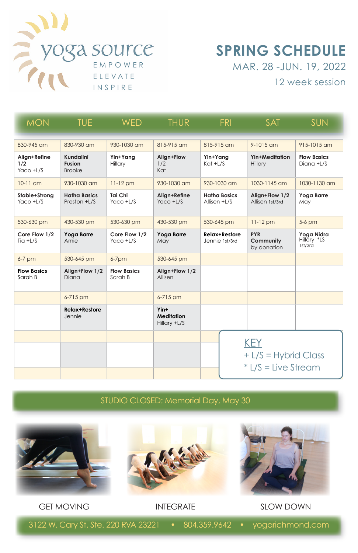

## **SPRING SCHEDULE**  MAR. 28 -JUN. 19, 2022

12 week session

| <b>MON</b>                       | <b>TUE</b>                                  | <b>WFD</b>                    | <b>THUR</b>                               | FRI                                 | <b>SAT</b>                                                | <b>SUN</b>                           |
|----------------------------------|---------------------------------------------|-------------------------------|-------------------------------------------|-------------------------------------|-----------------------------------------------------------|--------------------------------------|
| 830-945 am                       | 830-930 am                                  | 930-1030 am                   | 815-915 am                                | 815-915 am                          | $9 - 1015$ am                                             | 915-1015 am                          |
| Align+Refine<br>1/2<br>Yaco +L/S | Kundalini<br><b>Fusion</b><br><b>Brooke</b> | Yin+Yang<br>Hillary           | Align+Flow<br>1/2<br>Kat                  | Yin+Yang<br>$Kat + L/S$             | Yin+Meditation<br>Hillary                                 | <b>Flow Basics</b><br>Diana +L/S     |
| $10-11$ am                       | $930 - 1030$ am                             | $11-12$ pm                    | $930 - 1030$ am                           | $930 - 1030$ am                     | $1030 - 1145$ am                                          | 1030-1130 am                         |
| Stable+Strong<br>Yaco +L/S       | <b>Hatha Basics</b><br>Preston +L/S         | Tai Chi<br>Yaco +L/S          | Align+Refine<br>Yaco +L/S                 | <b>Hatha Basics</b><br>Allisen +L/S | Align+Flow 1/2<br>Allisen 1st/3rd                         | Yoga Barre<br>May                    |
| 530-630 pm                       | 430-530 pm                                  | 530-630 pm                    | 430-530 pm                                | 530-645 pm                          | $11-12$ pm                                                | 5-6 pm                               |
| Core Flow 1/2<br>$T$ ia +L/S     | Yoga Barre<br>Amie                          | Core Flow 1/2<br>Yaco +L/S    | Yoga Barre<br>May                         | Relax+Restore<br>Jennie 1st/3rd     | <b>PYR</b><br>Community<br>by donation                    | Yogg Nidra<br>Hillary *LS<br>1st/3rd |
| $6-7$ pm                         | 530-645 pm                                  | $6 - 7$ pm                    | 530-645 pm                                |                                     |                                                           |                                      |
| <b>Flow Basics</b><br>Sarah B    | Align+Flow 1/2<br>Diana                     | <b>Flow Basics</b><br>Sarah B | Align+Flow 1/2<br>Allisen                 |                                     |                                                           |                                      |
|                                  | 6-715 pm                                    |                               | 6-715 pm                                  |                                     |                                                           |                                      |
|                                  | <b>Relax+Restore</b><br>Jennie              |                               | Yin+<br><b>Meditation</b><br>Hillary +L/S |                                     |                                                           |                                      |
|                                  |                                             |                               |                                           |                                     | <b>KEY</b><br>+ L/S = Hybrid Class<br>* L/S = Live Stream |                                      |

STUDIO CLOSED: Memorial Day, May 30



3122 W. Cary St. Ste. 220 RVA 23221 • 804.359.9642 • yogarichmond.com